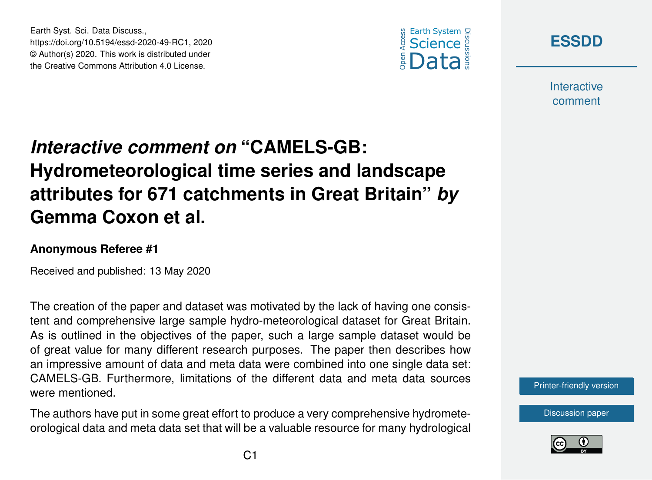



**Interactive** comment

## *Interactive comment on* **"CAMELS-GB: Hydrometeorological time series and landscape attributes for 671 catchments in Great Britain"** *by* **Gemma Coxon et al.**

## **Anonymous Referee #1**

Earth Syst. Sci. Data Discuss.,

https://doi.org/10.5194/essd-2020-49-RC1, 2020 © Author(s) 2020. This work is distributed under the Creative Commons Attribution 4.0 License.

Received and published: 13 May 2020

The creation of the paper and dataset was motivated by the lack of having one consistent and comprehensive large sample hydro-meteorological dataset for Great Britain. As is outlined in the objectives of the paper, such a large sample dataset would be of great value for many different research purposes. The paper then describes how an impressive amount of data and meta data were combined into one single data set: CAMELS-GB. Furthermore, limitations of the different data and meta data sources were mentioned.

The authors have put in some great effort to produce a very comprehensive hydrometeorological data and meta data set that will be a valuable resource for many hydrological



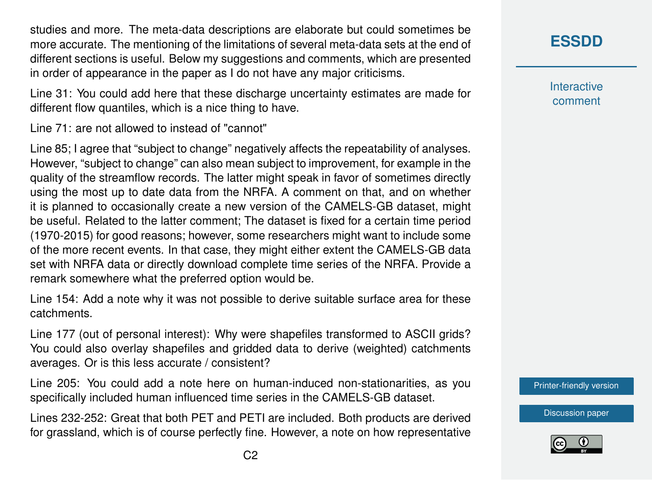studies and more. The meta-data descriptions are elaborate but could sometimes be more accurate. The mentioning of the limitations of several meta-data sets at the end of different sections is useful. Below my suggestions and comments, which are presented in order of appearance in the paper as I do not have any major criticisms.

Line 31: You could add here that these discharge uncertainty estimates are made for different flow quantiles, which is a nice thing to have.

Line 71: are not allowed to instead of "cannot"

Line 85; I agree that "subject to change" negatively affects the repeatability of analyses. However, "subject to change" can also mean subject to improvement, for example in the quality of the streamflow records. The latter might speak in favor of sometimes directly using the most up to date data from the NRFA. A comment on that, and on whether it is planned to occasionally create a new version of the CAMELS-GB dataset, might be useful. Related to the latter comment; The dataset is fixed for a certain time period (1970-2015) for good reasons; however, some researchers might want to include some of the more recent events. In that case, they might either extent the CAMELS-GB data set with NRFA data or directly download complete time series of the NRFA. Provide a remark somewhere what the preferred option would be.

Line 154: Add a note why it was not possible to derive suitable surface area for these catchments.

Line 177 (out of personal interest): Why were shapefiles transformed to ASCII grids? You could also overlay shapefiles and gridded data to derive (weighted) catchments averages. Or is this less accurate / consistent?

Line 205: You could add a note here on human-induced non-stationarities, as you specifically included human influenced time series in the CAMELS-GB dataset.

Lines 232-252: Great that both PET and PETI are included. Both products are derived for grassland, which is of course perfectly fine. However, a note on how representative **Interactive** comment

[Printer-friendly version](https://www.earth-syst-sci-data-discuss.net/essd-2020-49/essd-2020-49-RC1-print.pdf)

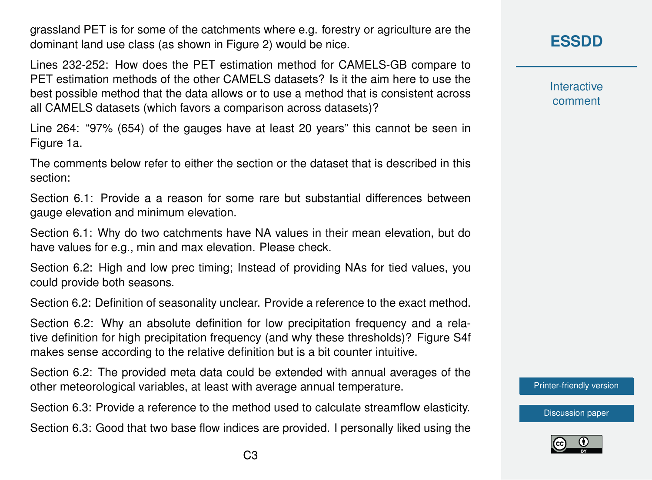grassland PET is for some of the catchments where e.g. forestry or agriculture are the dominant land use class (as shown in Figure 2) would be nice.

Lines 232-252: How does the PET estimation method for CAMELS-GB compare to PET estimation methods of the other CAMELS datasets? Is it the aim here to use the best possible method that the data allows or to use a method that is consistent across all CAMELS datasets (which favors a comparison across datasets)?

Line 264: "97% (654) of the gauges have at least 20 years" this cannot be seen in Figure 1a.

The comments below refer to either the section or the dataset that is described in this section:

Section 6.1: Provide a a reason for some rare but substantial differences between gauge elevation and minimum elevation.

Section 6.1: Why do two catchments have NA values in their mean elevation, but do have values for e.g., min and max elevation. Please check.

Section 6.2: High and low prec timing; Instead of providing NAs for tied values, you could provide both seasons.

Section 6.2: Definition of seasonality unclear. Provide a reference to the exact method.

Section 6.2: Why an absolute definition for low precipitation frequency and a relative definition for high precipitation frequency (and why these thresholds)? Figure S4f makes sense according to the relative definition but is a bit counter intuitive.

Section 6.2: The provided meta data could be extended with annual averages of the other meteorological variables, at least with average annual temperature.

Section 6.3: Provide a reference to the method used to calculate streamflow elasticity.

Section 6.3: Good that two base flow indices are provided. I personally liked using the

**Interactive** comment

[Printer-friendly version](https://www.earth-syst-sci-data-discuss.net/essd-2020-49/essd-2020-49-RC1-print.pdf)

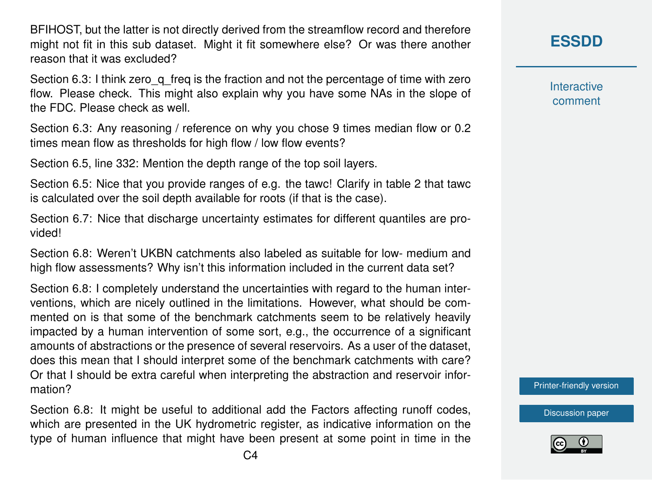BFIHOST, but the latter is not directly derived from the streamflow record and therefore might not fit in this sub dataset. Might it fit somewhere else? Or was there another reason that it was excluded?

Section 6.3: I think zero q freq is the fraction and not the percentage of time with zero flow. Please check. This might also explain why you have some NAs in the slope of the FDC. Please check as well.

Section 6.3: Any reasoning / reference on why you chose 9 times median flow or 0.2 times mean flow as thresholds for high flow / low flow events?

Section 6.5, line 332: Mention the depth range of the top soil layers.

Section 6.5: Nice that you provide ranges of e.g. the tawc! Clarify in table 2 that tawc is calculated over the soil depth available for roots (if that is the case).

Section 6.7: Nice that discharge uncertainty estimates for different quantiles are provided!

Section 6.8: Weren't UKBN catchments also labeled as suitable for low- medium and high flow assessments? Why isn't this information included in the current data set?

Section 6.8: I completely understand the uncertainties with regard to the human interventions, which are nicely outlined in the limitations. However, what should be commented on is that some of the benchmark catchments seem to be relatively heavily impacted by a human intervention of some sort, e.g., the occurrence of a significant amounts of abstractions or the presence of several reservoirs. As a user of the dataset, does this mean that I should interpret some of the benchmark catchments with care? Or that I should be extra careful when interpreting the abstraction and reservoir information?

Section 6.8: It might be useful to additional add the Factors affecting runoff codes, which are presented in the UK hydrometric register, as indicative information on the type of human influence that might have been present at some point in time in the **[ESSDD](https://www.earth-syst-sci-data-discuss.net/)**

**Interactive** comment

[Printer-friendly version](https://www.earth-syst-sci-data-discuss.net/essd-2020-49/essd-2020-49-RC1-print.pdf)